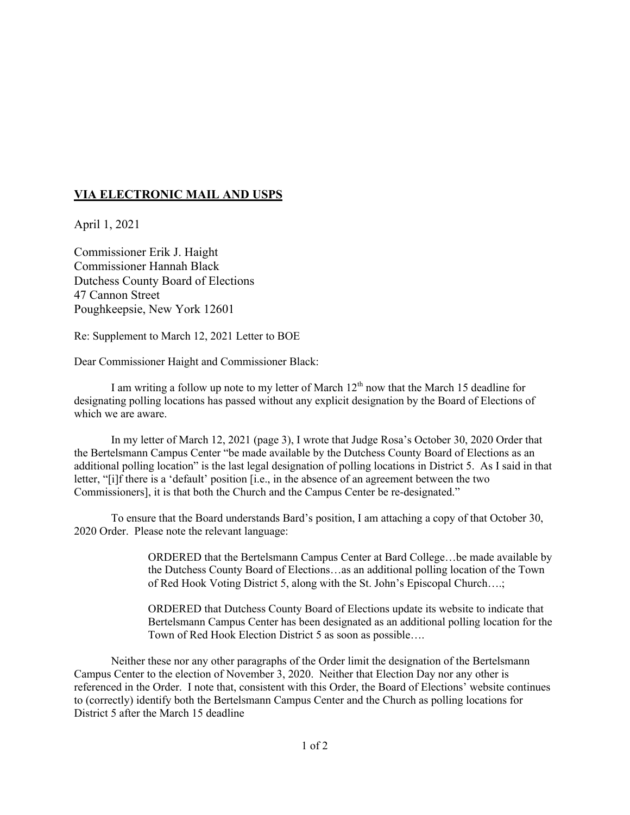## **VIA ELECTRONIC MAIL AND USPS**

April 1, 2021

Commissioner Erik J. Haight Commissioner Hannah Black Dutchess County Board of Elections 47 Cannon Street Poughkeepsie, New York 12601

Re: Supplement to March 12, 2021 Letter to BOE

Dear Commissioner Haight and Commissioner Black:

I am writing a follow up note to my letter of March  $12<sup>th</sup>$  now that the March 15 deadline for designating polling locations has passed without any explicit designation by the Board of Elections of which we are aware.

In my letter of March 12, 2021 (page 3), I wrote that Judge Rosa's October 30, 2020 Order that the Bertelsmann Campus Center "be made available by the Dutchess County Board of Elections as an additional polling location" is the last legal designation of polling locations in District 5. As I said in that letter, "[i]f there is a 'default' position [i.e., in the absence of an agreement between the two Commissioners], it is that both the Church and the Campus Center be re-designated."

To ensure that the Board understands Bard's position, I am attaching a copy of that October 30, 2020 Order. Please note the relevant language:

> ORDERED that the Bertelsmann Campus Center at Bard College…be made available by the Dutchess County Board of Elections…as an additional polling location of the Town of Red Hook Voting District 5, along with the St. John's Episcopal Church….;

> ORDERED that Dutchess County Board of Elections update its website to indicate that Bertelsmann Campus Center has been designated as an additional polling location for the Town of Red Hook Election District 5 as soon as possible….

Neither these nor any other paragraphs of the Order limit the designation of the Bertelsmann Campus Center to the election of November 3, 2020. Neither that Election Day nor any other is referenced in the Order. I note that, consistent with this Order, the Board of Elections' website continues to (correctly) identify both the Bertelsmann Campus Center and the Church as polling locations for District 5 after the March 15 deadline